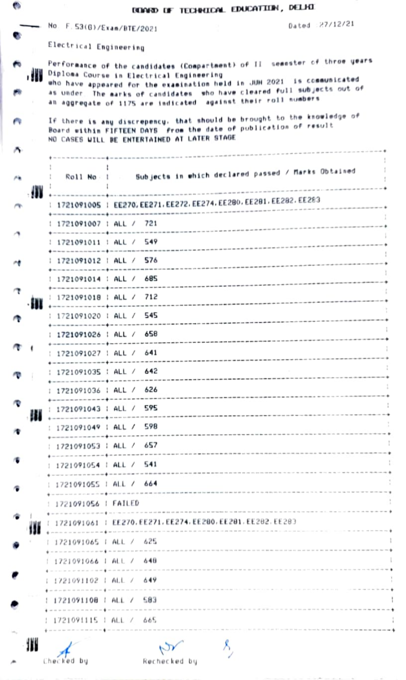| P.         |                              | DOARD OF TECHNICAL EDUCATION, DELHI                                                                                                                                                             |  |
|------------|------------------------------|-------------------------------------------------------------------------------------------------------------------------------------------------------------------------------------------------|--|
|            | No. F. 53(G)/Exam/BTE/2021   | Dated :27/12/21                                                                                                                                                                                 |  |
|            | Electrical Engineering       |                                                                                                                                                                                                 |  |
| ۰<br>, 189 |                              | Performance of the candidates (Compartment) of II semester of three years<br>Diploma Course in Electrical Engineering<br>who have appeared for the examination held in JUN 2021 is communicated |  |
|            |                              | as under. The marks of candidates who have cleared full subjects out of<br>an aggregate of 1175 are indicated. against their roll numbers                                                       |  |
|            |                              | If there is any discrepency, that should be brought to the knowledge of                                                                                                                         |  |
|            |                              | Board within FIFTEEN DAYS from the date of publication of result<br>NO CASES WILL BE ENTERTAINED AT LATER STAGE                                                                                 |  |
| n.         |                              |                                                                                                                                                                                                 |  |
| Α'n        |                              | : Roll No. : . Subjects in which declared passed / Marks Obtained                                                                                                                               |  |
| ́          |                              | 1721091005   EE270, EE271, EE272, EE274, EE280, EE281, EE282, EE283                                                                                                                             |  |
|            |                              | <b>↑ ==============+++++</b><br>: 1721091007 : ALL / 721                                                                                                                                        |  |
| ÷.         | : 1721091011 : ALL / 549     |                                                                                                                                                                                                 |  |
| ٠ŧ.        | 1 1721091012 1 ALL / 576     |                                                                                                                                                                                                 |  |
|            | 1 1721091014 : ALL / 685     |                                                                                                                                                                                                 |  |
| ۰          | $1721091018$ $1$ ALL $7$ 712 |                                                                                                                                                                                                 |  |
| Ф          |                              | : 1721091020 : ALL / 545                                                                                                                                                                        |  |
|            | 1 1721091026 1 ALL / 658     |                                                                                                                                                                                                 |  |
| ۰.         | $1721091027$ : ALL / 641     |                                                                                                                                                                                                 |  |
| v.         | : 1721091035 : ALL / 642     |                                                                                                                                                                                                 |  |
|            |                              | 1721091036   ALL / 626                                                                                                                                                                          |  |
| ٩<br>ш     | 1721091043 : ALL /           | 595                                                                                                                                                                                             |  |
|            | 1721091049   ALL /           | 598<br>-----------                                                                                                                                                                              |  |
|            | 1721091053 : ALL / 657       |                                                                                                                                                                                                 |  |
|            | 1721091054   ALL / 541       |                                                                                                                                                                                                 |  |
|            |                              | 1721091055 T ALL / 664                                                                                                                                                                          |  |
|            | 1721091056   FAILED          |                                                                                                                                                                                                 |  |
| Ш          |                              | 1721091061 : EE270, EE271, EE274, EE200, EE201, EE202, EE203                                                                                                                                    |  |
|            | 1721091065   ALL / 625       |                                                                                                                                                                                                 |  |
|            | 1721091066   ALL /           | 648                                                                                                                                                                                             |  |
|            | $1721091102$ ; ALL /         |                                                                                                                                                                                                 |  |
|            | 1721091108   ALL /           | 583                                                                                                                                                                                             |  |
|            | 1721091115 1 ALL / 665       |                                                                                                                                                                                                 |  |
| Ш          |                              |                                                                                                                                                                                                 |  |

Checked by

e

Rechecked by



×,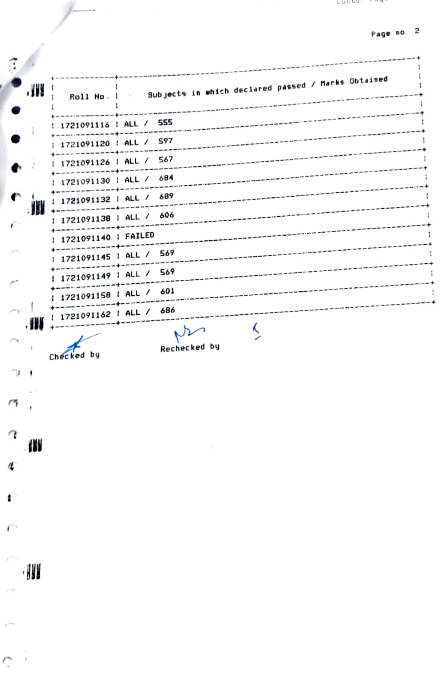ï

1

4

1

÷

t

4

ţ

٠

1

t

4

÷

۰

t

 $\ddot{i}$ 

-----------------Subjects in which declared passed / Marks Obtained , W ÷  $\sim 10$ Roll No. : 1 -----1721091116 : ALL / 555 -----------**----**1721091120 : ALL / 597 ------------1721091126 : ALL / 567 --------1721091130 | ALL / 684 --------| ALL / 689 21091132 : W -----1721091138 | ALL / 606 ------1721091140 | FAILED --------ALL / 569 1721091145 ----------1721091149 | ALL / 569 ---------: 1721091158 : ALL / 601 -------: 1721091162 : ALL / 686 ---- $\overline{\zeta}$ ٢

Rechecked by

Checked by

₩

, JVI

¢

g